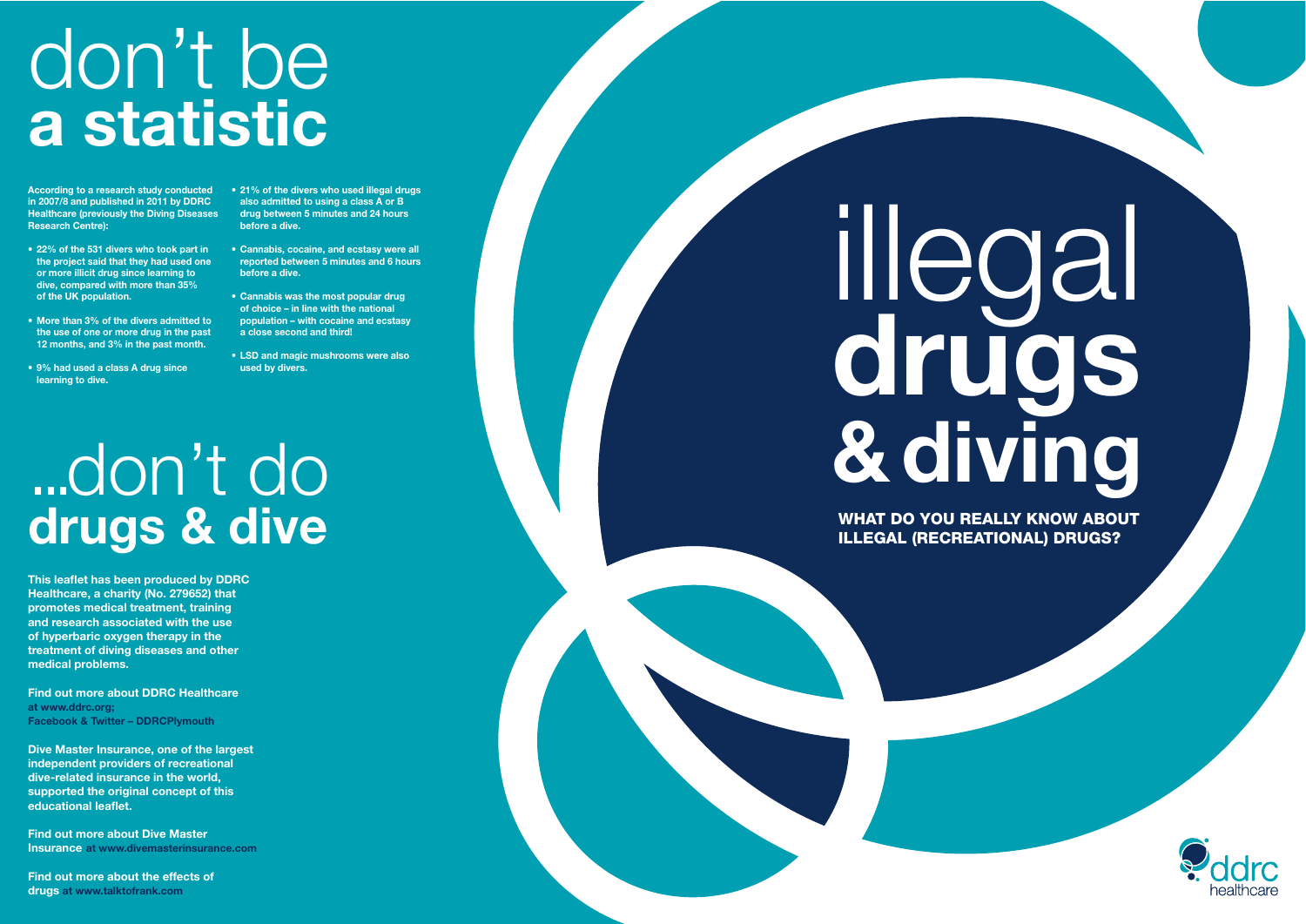# don't be a statistic

illegal drugs<br>& diving

# ...don't do drugs & dive

WHAT DO YOU REALLY KNOW ABOUT ILLEGAL (RECREATIONAL) DRUGS?



in 2007/8 and published in 2011 by DDRC Healthcare (previously the Diving Diseases Research Centre):

- $\cdot$  22% of the 531 divers who took part in the project said that they had used one or more illicit drug since learning to dive, compared with more than 35% of the UK population.
- More than 3% of the divers admitted to the use of one or more drug in the past 12 months, and 3% in the past month.
- 9% had used a class A drug since learning to dive.
- According to a research study conducted 21% of the divers who used illegal drugs also admitted to using a class A or B drug between 5 minutes and 24 hours before a dive.
	- Cannabis, cocaine, and ecstasy were all reported between 5 minutes and 6 hours before a dive.
	- $\bullet$  Cannabis was the most popular drug of choice - in line with the national population - with cocaine and ecstasy a close second and third!
	- LSD and magic mushrooms were also used by divers.

This leaflet has been produced by DDRC Healthcare, a charity (No. 279652) that promotes medical treatment, training and research associated with the use of hyperbaric oxygen therapy in the treatment of diving diseases and other medical problems.

Find out more about DDRC Healthcare at www.ddrc.org: Facebook & Twitter – DDRCPlymouth

Dive Master Insurance, one of the largest independent providers of recreational dive-related insurance in the world, supported the original concept of this educational leaflet.

Find out more about Dive Master Insurance at www.divemasterinsurance.com

Find out more about the effects of drugs at www.talktofrank.com